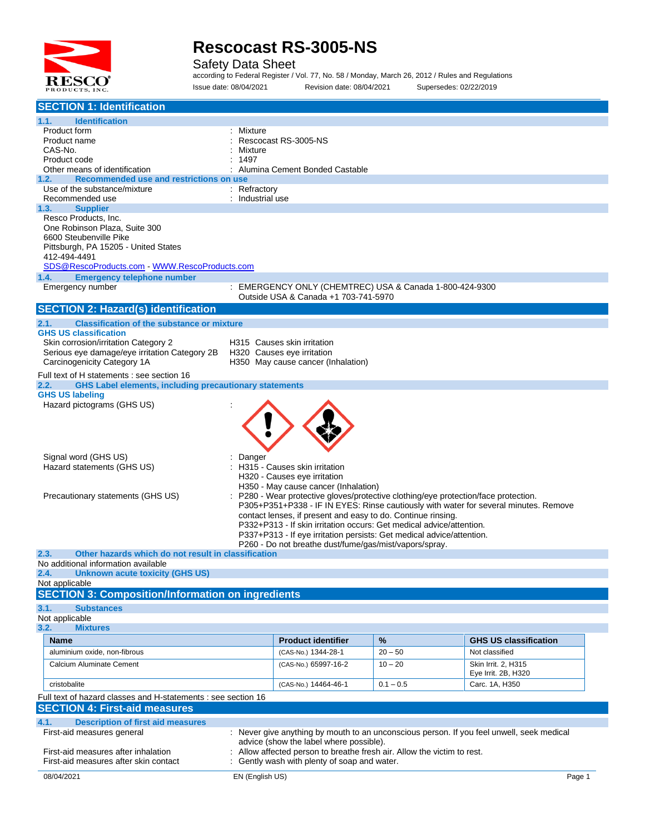

Safety Data Sheet

according to Federal Register / Vol. 77, No. 58 / Monday, March 26, 2012 / Rules and Regulations Issue date: 08/04/2021 Revision date: 08/04/2021 Supersedes: 02/22/2019

| <b>SECTION 1: Identification</b>                                                                            |                                                                                                                                                                           |             |                                            |  |
|-------------------------------------------------------------------------------------------------------------|---------------------------------------------------------------------------------------------------------------------------------------------------------------------------|-------------|--------------------------------------------|--|
|                                                                                                             |                                                                                                                                                                           |             |                                            |  |
| 1.1.<br><b>Identification</b><br>Product form                                                               |                                                                                                                                                                           |             |                                            |  |
| Product name                                                                                                | : Mixture<br>Rescocast RS-3005-NS                                                                                                                                         |             |                                            |  |
| CAS-No.                                                                                                     | Mixture                                                                                                                                                                   |             |                                            |  |
| Product code                                                                                                | 1497                                                                                                                                                                      |             |                                            |  |
| Other means of identification                                                                               | : Alumina Cement Bonded Castable                                                                                                                                          |             |                                            |  |
| Recommended use and restrictions on use<br>1.2.                                                             |                                                                                                                                                                           |             |                                            |  |
| Use of the substance/mixture                                                                                | : Refractory                                                                                                                                                              |             |                                            |  |
| Recommended use                                                                                             | : Industrial use                                                                                                                                                          |             |                                            |  |
| <b>Supplier</b><br>1.3.<br>Resco Products, Inc.                                                             |                                                                                                                                                                           |             |                                            |  |
| One Robinson Plaza, Suite 300                                                                               |                                                                                                                                                                           |             |                                            |  |
| 6600 Steubenville Pike                                                                                      |                                                                                                                                                                           |             |                                            |  |
| Pittsburgh, PA 15205 - United States                                                                        |                                                                                                                                                                           |             |                                            |  |
| 412-494-4491                                                                                                |                                                                                                                                                                           |             |                                            |  |
| SDS@RescoProducts.com WWW.RescoProducts.com                                                                 |                                                                                                                                                                           |             |                                            |  |
| 1.4.<br><b>Emergency telephone number</b>                                                                   |                                                                                                                                                                           |             |                                            |  |
| Emergency number                                                                                            | : EMERGENCY ONLY (CHEMTREC) USA & Canada 1-800-424-9300                                                                                                                   |             |                                            |  |
|                                                                                                             | Outside USA & Canada +1 703-741-5970                                                                                                                                      |             |                                            |  |
| <b>SECTION 2: Hazard(s) identification</b>                                                                  |                                                                                                                                                                           |             |                                            |  |
| <b>Classification of the substance or mixture</b><br>2.1.                                                   |                                                                                                                                                                           |             |                                            |  |
| <b>GHS US classification</b>                                                                                |                                                                                                                                                                           |             |                                            |  |
| Skin corrosion/irritation Category 2                                                                        | H315 Causes skin irritation                                                                                                                                               |             |                                            |  |
| Serious eye damage/eye irritation Category 2B<br>Carcinogenicity Category 1A                                | H320 Causes eye irritation<br>H350 May cause cancer (Inhalation)                                                                                                          |             |                                            |  |
|                                                                                                             |                                                                                                                                                                           |             |                                            |  |
| Full text of H statements : see section 16<br><b>GHS Label elements, including precautionary statements</b> |                                                                                                                                                                           |             |                                            |  |
| 2.2.<br><b>GHS US labeling</b>                                                                              |                                                                                                                                                                           |             |                                            |  |
| Hazard pictograms (GHS US)                                                                                  |                                                                                                                                                                           |             |                                            |  |
|                                                                                                             |                                                                                                                                                                           |             |                                            |  |
|                                                                                                             |                                                                                                                                                                           |             |                                            |  |
|                                                                                                             |                                                                                                                                                                           |             |                                            |  |
|                                                                                                             |                                                                                                                                                                           |             |                                            |  |
| Signal word (GHS US)                                                                                        | Danger                                                                                                                                                                    |             |                                            |  |
| Hazard statements (GHS US)                                                                                  | H315 - Causes skin irritation                                                                                                                                             |             |                                            |  |
|                                                                                                             | H320 - Causes eye irritation                                                                                                                                              |             |                                            |  |
|                                                                                                             | H350 - May cause cancer (Inhalation)                                                                                                                                      |             |                                            |  |
| Precautionary statements (GHS US)                                                                           | P280 - Wear protective gloves/protective clothing/eye protection/face protection.<br>P305+P351+P338 - IF IN EYES: Rinse cautiously with water for several minutes. Remove |             |                                            |  |
|                                                                                                             | contact lenses, if present and easy to do. Continue rinsing.                                                                                                              |             |                                            |  |
|                                                                                                             | P332+P313 - If skin irritation occurs: Get medical advice/attention.                                                                                                      |             |                                            |  |
|                                                                                                             | P337+P313 - If eye irritation persists: Get medical advice/attention.                                                                                                     |             |                                            |  |
|                                                                                                             | P260 - Do not breathe dust/fume/gas/mist/vapors/spray.                                                                                                                    |             |                                            |  |
| 2.3.<br>Other hazards which do not result in classification                                                 |                                                                                                                                                                           |             |                                            |  |
| No additional information available                                                                         |                                                                                                                                                                           |             |                                            |  |
| 2.4.<br>Unknown acute toxicity (GHS US)<br>Not applicable                                                   |                                                                                                                                                                           |             |                                            |  |
| <b>SECTION 3: Composition/Information on ingredients</b>                                                    |                                                                                                                                                                           |             |                                            |  |
|                                                                                                             |                                                                                                                                                                           |             |                                            |  |
| 3.1.<br><b>Substances</b>                                                                                   |                                                                                                                                                                           |             |                                            |  |
| Not applicable<br>3.2.<br><b>Mixtures</b>                                                                   |                                                                                                                                                                           |             |                                            |  |
|                                                                                                             | <b>Product identifier</b>                                                                                                                                                 |             | <b>GHS US classification</b>               |  |
| <b>Name</b>                                                                                                 |                                                                                                                                                                           | %           |                                            |  |
| aluminium oxide, non-fibrous                                                                                | (CAS-No.) 1344-28-1                                                                                                                                                       | $20 - 50$   | Not classified                             |  |
| Calcium Aluminate Cement                                                                                    | (CAS-No.) 65997-16-2                                                                                                                                                      | $10 - 20$   | Skin Irrit. 2, H315<br>Eye Irrit. 2B, H320 |  |
| cristobalite                                                                                                | (CAS-No.) 14464-46-1                                                                                                                                                      | $0.1 - 0.5$ | Carc. 1A, H350                             |  |
|                                                                                                             |                                                                                                                                                                           |             |                                            |  |
| Full text of hazard classes and H-statements : see section 16                                               |                                                                                                                                                                           |             |                                            |  |
| <b>SECTION 4: First-aid measures</b>                                                                        |                                                                                                                                                                           |             |                                            |  |
| 4.1.<br><b>Description of first aid measures</b>                                                            |                                                                                                                                                                           |             |                                            |  |
| First-aid measures general                                                                                  | : Never give anything by mouth to an unconscious person. If you feel unwell, seek medical                                                                                 |             |                                            |  |
| First-aid measures after inhalation                                                                         | advice (show the label where possible).<br>Allow affected person to breathe fresh air. Allow the victim to rest.                                                          |             |                                            |  |
| First-aid measures after skin contact                                                                       | Gently wash with plenty of soap and water.                                                                                                                                |             |                                            |  |
|                                                                                                             |                                                                                                                                                                           |             |                                            |  |
| 08/04/2021                                                                                                  | EN (English US)                                                                                                                                                           |             | Page 1                                     |  |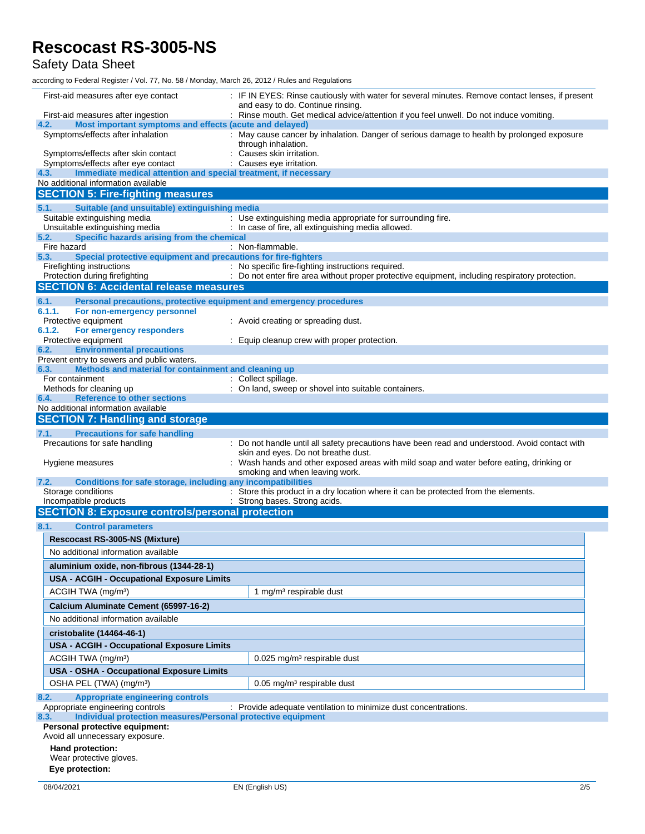### Safety Data Sheet

according to Federal Register / Vol. 77, No. 58 / Monday, March 26, 2012 / Rules and Regulations

| First-aid measures after eye contact                                                                   | : IF IN EYES: Rinse cautiously with water for several minutes. Remove contact lenses, if present                                                      |
|--------------------------------------------------------------------------------------------------------|-------------------------------------------------------------------------------------------------------------------------------------------------------|
| First-aid measures after ingestion                                                                     | and easy to do. Continue rinsing.<br>: Rinse mouth. Get medical advice/attention if you feel unwell. Do not induce vomiting.                          |
| Most important symptoms and effects (acute and delayed)<br>4.2.                                        |                                                                                                                                                       |
| Symptoms/effects after inhalation                                                                      | : May cause cancer by inhalation. Danger of serious damage to health by prolonged exposure<br>through inhalation.                                     |
| Symptoms/effects after skin contact<br>Symptoms/effects after eye contact                              | Causes skin irritation.<br>Causes eye irritation.                                                                                                     |
| Immediate medical attention and special treatment, if necessary<br>4.3.                                |                                                                                                                                                       |
| No additional information available                                                                    |                                                                                                                                                       |
| <b>SECTION 5: Fire-fighting measures</b>                                                               |                                                                                                                                                       |
| Suitable (and unsuitable) extinguishing media<br>5.1.                                                  |                                                                                                                                                       |
| Suitable extinguishing media                                                                           | : Use extinguishing media appropriate for surrounding fire.                                                                                           |
| Unsuitable extinguishing media<br>Specific hazards arising from the chemical<br>5.2.                   | : In case of fire, all extinguishing media allowed.                                                                                                   |
| Fire hazard                                                                                            | : Non-flammable.                                                                                                                                      |
| 5.3.<br>Special protective equipment and precautions for fire-fighters                                 |                                                                                                                                                       |
| Firefighting instructions<br>Protection during firefighting                                            | : No specific fire-fighting instructions required.<br>: Do not enter fire area without proper protective equipment, including respiratory protection. |
| <b>SECTION 6: Accidental release measures</b>                                                          |                                                                                                                                                       |
| 6.1.<br>Personal precautions, protective equipment and emergency procedures                            |                                                                                                                                                       |
| 6.1.1.<br>For non-emergency personnel                                                                  |                                                                                                                                                       |
| Protective equipment                                                                                   | : Avoid creating or spreading dust.                                                                                                                   |
| 6.1.2.<br>For emergency responders                                                                     |                                                                                                                                                       |
| Protective equipment<br><b>Environmental precautions</b><br>6.2.                                       | : Equip cleanup crew with proper protection.                                                                                                          |
| Prevent entry to sewers and public waters.                                                             |                                                                                                                                                       |
| Methods and material for containment and cleaning up<br>6.3.                                           |                                                                                                                                                       |
| For containment                                                                                        | : Collect spillage.                                                                                                                                   |
| Methods for cleaning up<br><b>Reference to other sections</b><br>6.4.                                  | : On land, sweep or shovel into suitable containers.                                                                                                  |
| No additional information available                                                                    |                                                                                                                                                       |
| <b>SECTION 7: Handling and storage</b>                                                                 |                                                                                                                                                       |
| <b>Precautions for safe handling</b><br>7.1.                                                           |                                                                                                                                                       |
| Precautions for safe handling                                                                          | : Do not handle until all safety precautions have been read and understood. Avoid contact with                                                        |
|                                                                                                        | skin and eyes. Do not breathe dust.<br>: Wash hands and other exposed areas with mild soap and water before eating, drinking or                       |
| Hygiene measures                                                                                       | smoking and when leaving work.                                                                                                                        |
| Conditions for safe storage, including any incompatibilities<br>7.2.                                   |                                                                                                                                                       |
| Storage conditions                                                                                     | : Store this product in a dry location where it can be protected from the elements.                                                                   |
| Incompatible products<br><b>SECTION 8: Exposure controls/personal protection</b>                       | : Strong bases. Strong acids.                                                                                                                         |
|                                                                                                        |                                                                                                                                                       |
| 8.1.<br><b>Control parameters</b>                                                                      |                                                                                                                                                       |
| Rescocast RS-3005-NS (Mixture)                                                                         |                                                                                                                                                       |
| No additional information available                                                                    |                                                                                                                                                       |
| aluminium oxide, non-fibrous (1344-28-1)                                                               |                                                                                                                                                       |
| <b>USA - ACGIH - Occupational Exposure Limits</b>                                                      |                                                                                                                                                       |
| ACGIH TWA (mg/m <sup>3</sup> )                                                                         | 1 mg/m <sup>3</sup> respirable dust                                                                                                                   |
| Calcium Aluminate Cement (65997-16-2)                                                                  |                                                                                                                                                       |
| No additional information available                                                                    |                                                                                                                                                       |
| cristobalite (14464-46-1)                                                                              |                                                                                                                                                       |
| <b>USA - ACGIH - Occupational Exposure Limits</b>                                                      |                                                                                                                                                       |
| ACGIH TWA (mg/m <sup>3</sup> )                                                                         | 0.025 mg/m <sup>3</sup> respirable dust                                                                                                               |
| USA - OSHA - Occupational Exposure Limits                                                              |                                                                                                                                                       |
| OSHA PEL (TWA) (mg/m <sup>3</sup> )                                                                    | 0.05 mg/m <sup>3</sup> respirable dust                                                                                                                |
| 8.2.<br><b>Appropriate engineering controls</b>                                                        |                                                                                                                                                       |
| Appropriate engineering controls                                                                       | : Provide adequate ventilation to minimize dust concentrations.                                                                                       |
| Individual protection measures/Personal protective equipment<br>8.3.<br>Personal protective equipment: |                                                                                                                                                       |
| Avoid all unnecessary exposure.                                                                        |                                                                                                                                                       |
| Hand protection:                                                                                       |                                                                                                                                                       |
| Wear protective gloves.                                                                                |                                                                                                                                                       |
| Eye protection:                                                                                        |                                                                                                                                                       |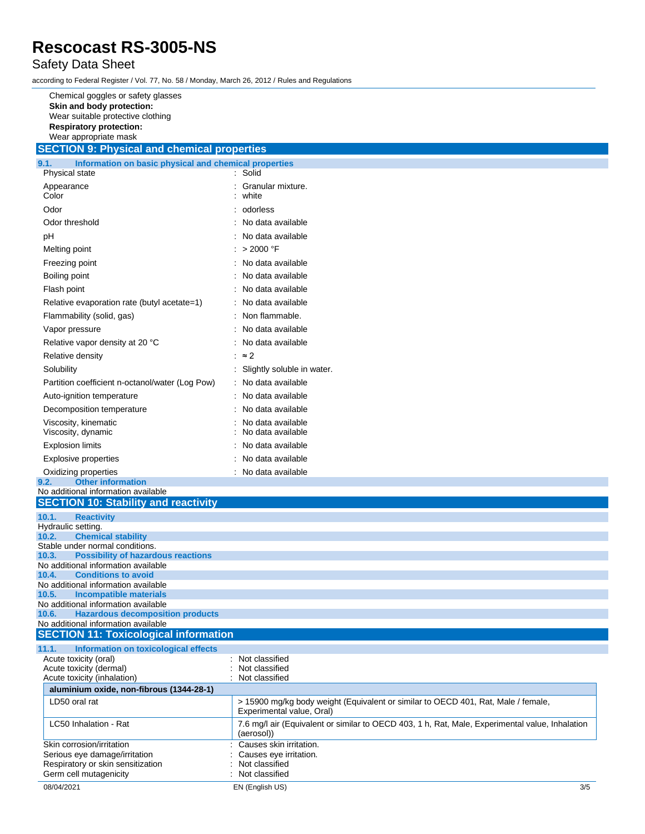### Safety Data Sheet

according to Federal Register / Vol. 77, No. 58 / Monday, March 26, 2012 / Rules and Regulations

| Chemical goggles or safety glasses<br>Skin and body protection:<br>Wear suitable protective clothing<br><b>Respiratory protection:</b><br>Wear appropriate mask<br><b>SECTION 9: Physical and chemical properties</b> |                                                                                                                |
|-----------------------------------------------------------------------------------------------------------------------------------------------------------------------------------------------------------------------|----------------------------------------------------------------------------------------------------------------|
|                                                                                                                                                                                                                       |                                                                                                                |
| 9.1.<br>Information on basic physical and chemical properties<br>Physical state                                                                                                                                       | : Solid                                                                                                        |
| Appearance                                                                                                                                                                                                            | Granular mixture.                                                                                              |
| Color                                                                                                                                                                                                                 | white                                                                                                          |
| Odor                                                                                                                                                                                                                  | odorless                                                                                                       |
| Odor threshold                                                                                                                                                                                                        | No data available                                                                                              |
| рH                                                                                                                                                                                                                    | No data available                                                                                              |
| Melting point                                                                                                                                                                                                         | $: > 2000$ °F                                                                                                  |
| Freezing point                                                                                                                                                                                                        | : No data available                                                                                            |
| Boiling point                                                                                                                                                                                                         | No data available                                                                                              |
| Flash point                                                                                                                                                                                                           | No data available                                                                                              |
| Relative evaporation rate (butyl acetate=1)                                                                                                                                                                           | No data available                                                                                              |
| Flammability (solid, gas)                                                                                                                                                                                             | Non flammable.                                                                                                 |
| Vapor pressure                                                                                                                                                                                                        | No data available                                                                                              |
| Relative vapor density at 20 °C                                                                                                                                                                                       | No data available                                                                                              |
| Relative density                                                                                                                                                                                                      | $\approx$ 2                                                                                                    |
| Solubility                                                                                                                                                                                                            | Slightly soluble in water.                                                                                     |
| Partition coefficient n-octanol/water (Log Pow)                                                                                                                                                                       | : No data available                                                                                            |
| Auto-ignition temperature                                                                                                                                                                                             | : No data available                                                                                            |
| Decomposition temperature                                                                                                                                                                                             | No data available                                                                                              |
| Viscosity, kinematic                                                                                                                                                                                                  | No data available                                                                                              |
| Viscosity, dynamic                                                                                                                                                                                                    | No data available                                                                                              |
| <b>Explosion limits</b>                                                                                                                                                                                               | No data available                                                                                              |
| <b>Explosive properties</b>                                                                                                                                                                                           | No data available                                                                                              |
| Oxidizing properties<br><b>Other information</b><br>9.2.                                                                                                                                                              | : No data available                                                                                            |
| No additional information available                                                                                                                                                                                   |                                                                                                                |
| <b>SECTION 10: Stability and reactivity</b>                                                                                                                                                                           |                                                                                                                |
| 10.1.<br><b>Reactivity</b>                                                                                                                                                                                            |                                                                                                                |
| Hydraulic setting.<br><b>Chemical stability</b><br>10.2.                                                                                                                                                              |                                                                                                                |
| Stable under normal conditions.                                                                                                                                                                                       |                                                                                                                |
| <b>Possibility of hazardous reactions</b><br>10.3.                                                                                                                                                                    |                                                                                                                |
| No additional information available<br><b>Conditions to avoid</b><br>10.4.                                                                                                                                            |                                                                                                                |
| No additional information available                                                                                                                                                                                   |                                                                                                                |
| 10.5.<br><b>Incompatible materials</b>                                                                                                                                                                                |                                                                                                                |
| No additional information available<br>10.6.<br><b>Hazardous decomposition products</b>                                                                                                                               |                                                                                                                |
| No additional information available                                                                                                                                                                                   |                                                                                                                |
| <b>SECTION 11: Toxicological information</b>                                                                                                                                                                          |                                                                                                                |
| 11.1.<br>Information on toxicological effects                                                                                                                                                                         |                                                                                                                |
| Acute toxicity (oral)<br>Acute toxicity (dermal)                                                                                                                                                                      | : Not classified<br>Not classified                                                                             |
| Acute toxicity (inhalation)                                                                                                                                                                                           | Not classified                                                                                                 |
| aluminium oxide, non-fibrous (1344-28-1)                                                                                                                                                                              |                                                                                                                |
| LD50 oral rat                                                                                                                                                                                                         | > 15900 mg/kg body weight (Equivalent or similar to OECD 401, Rat, Male / female,<br>Experimental value, Oral) |
| LC50 Inhalation - Rat                                                                                                                                                                                                 | 7.6 mg/l air (Equivalent or similar to OECD 403, 1 h, Rat, Male, Experimental value, Inhalation<br>(aerosol))  |
| Skin corrosion/irritation                                                                                                                                                                                             | Causes skin irritation.                                                                                        |
| Serious eye damage/irritation                                                                                                                                                                                         | Causes eye irritation.                                                                                         |
| Respiratory or skin sensitization<br>Germ cell mutagenicity                                                                                                                                                           | Not classified<br>Not classified                                                                               |
| 08/04/2021                                                                                                                                                                                                            | 3/5<br>EN (English US)                                                                                         |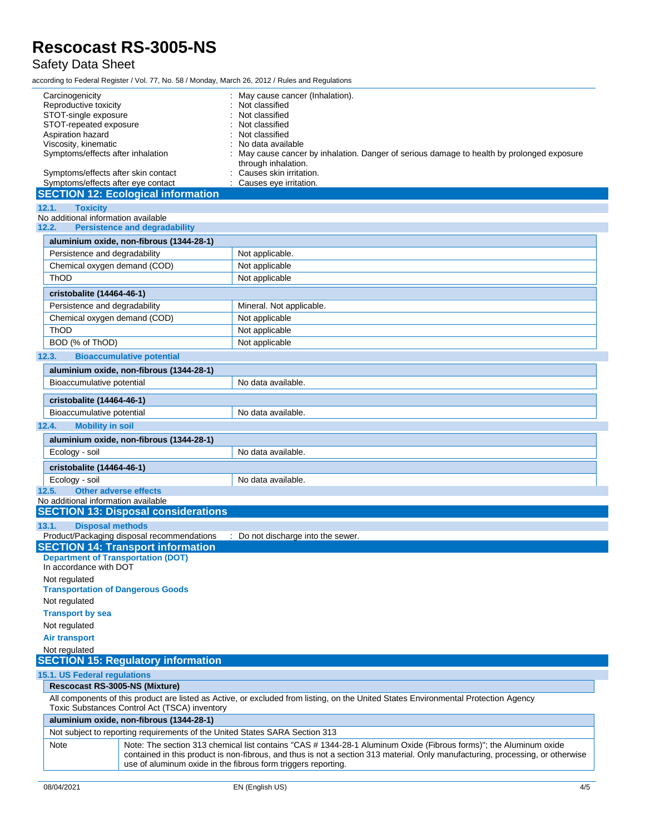### Safety Data Sheet

according to Federal Register / Vol. 77, No. 58 / Monday, March 26, 2012 / Rules and Regulations

| Carcinogenicity                                                                      |  | May cause cancer (Inhalation).                                                                                                      |                                                                                                                                                                                                 |  |
|--------------------------------------------------------------------------------------|--|-------------------------------------------------------------------------------------------------------------------------------------|-------------------------------------------------------------------------------------------------------------------------------------------------------------------------------------------------|--|
| Reproductive toxicity                                                                |  | Not classified                                                                                                                      |                                                                                                                                                                                                 |  |
| STOT-single exposure                                                                 |  | Not classified                                                                                                                      |                                                                                                                                                                                                 |  |
| STOT-repeated exposure<br>Aspiration hazard                                          |  | Not classified<br>Not classified                                                                                                    |                                                                                                                                                                                                 |  |
| Viscosity, kinematic                                                                 |  | No data available                                                                                                                   |                                                                                                                                                                                                 |  |
| Symptoms/effects after inhalation                                                    |  | May cause cancer by inhalation. Danger of serious damage to health by prolonged exposure<br>through inhalation.                     |                                                                                                                                                                                                 |  |
| Symptoms/effects after skin contact<br>Symptoms/effects after eye contact            |  | Causes skin irritation.<br>Causes eye irritation.                                                                                   |                                                                                                                                                                                                 |  |
| <b>SECTION 12: Ecological information</b>                                            |  |                                                                                                                                     |                                                                                                                                                                                                 |  |
| <b>Toxicity</b><br>12.1.                                                             |  |                                                                                                                                     |                                                                                                                                                                                                 |  |
| No additional information available<br>12.2.<br><b>Persistence and degradability</b> |  |                                                                                                                                     |                                                                                                                                                                                                 |  |
| aluminium oxide, non-fibrous (1344-28-1)                                             |  |                                                                                                                                     |                                                                                                                                                                                                 |  |
| Persistence and degradability                                                        |  | Not applicable.                                                                                                                     |                                                                                                                                                                                                 |  |
| Chemical oxygen demand (COD)                                                         |  |                                                                                                                                     |                                                                                                                                                                                                 |  |
|                                                                                      |  | Not applicable                                                                                                                      |                                                                                                                                                                                                 |  |
| ThOD                                                                                 |  | Not applicable                                                                                                                      |                                                                                                                                                                                                 |  |
| cristobalite (14464-46-1)                                                            |  |                                                                                                                                     |                                                                                                                                                                                                 |  |
| Persistence and degradability                                                        |  | Mineral. Not applicable.                                                                                                            |                                                                                                                                                                                                 |  |
| Chemical oxygen demand (COD)                                                         |  | Not applicable                                                                                                                      |                                                                                                                                                                                                 |  |
| ThOD                                                                                 |  | Not applicable                                                                                                                      |                                                                                                                                                                                                 |  |
| BOD (% of ThOD)                                                                      |  | Not applicable                                                                                                                      |                                                                                                                                                                                                 |  |
| 12.3.<br><b>Bioaccumulative potential</b>                                            |  |                                                                                                                                     |                                                                                                                                                                                                 |  |
| aluminium oxide, non-fibrous (1344-28-1)                                             |  |                                                                                                                                     |                                                                                                                                                                                                 |  |
| Bioaccumulative potential                                                            |  | No data available.                                                                                                                  |                                                                                                                                                                                                 |  |
|                                                                                      |  |                                                                                                                                     |                                                                                                                                                                                                 |  |
| cristobalite (14464-46-1)                                                            |  |                                                                                                                                     |                                                                                                                                                                                                 |  |
| Bioaccumulative potential                                                            |  | No data available.                                                                                                                  |                                                                                                                                                                                                 |  |
| 12.4.<br><b>Mobility in soil</b>                                                     |  |                                                                                                                                     |                                                                                                                                                                                                 |  |
| aluminium oxide, non-fibrous (1344-28-1)                                             |  |                                                                                                                                     |                                                                                                                                                                                                 |  |
| Ecology - soil                                                                       |  | No data available.                                                                                                                  |                                                                                                                                                                                                 |  |
| cristobalite (14464-46-1)                                                            |  |                                                                                                                                     |                                                                                                                                                                                                 |  |
| Ecology - soil                                                                       |  | No data available.                                                                                                                  |                                                                                                                                                                                                 |  |
| Other adverse effects<br>12.5.                                                       |  |                                                                                                                                     |                                                                                                                                                                                                 |  |
| No additional information available                                                  |  |                                                                                                                                     |                                                                                                                                                                                                 |  |
| <b>SECTION 13: Disposal considerations</b>                                           |  |                                                                                                                                     |                                                                                                                                                                                                 |  |
| 13.1.<br><b>Disposal methods</b>                                                     |  |                                                                                                                                     |                                                                                                                                                                                                 |  |
| Product/Packaging disposal recommendations                                           |  | : Do not discharge into the sewer.                                                                                                  |                                                                                                                                                                                                 |  |
| <b>SECTION 14: Transport information</b>                                             |  |                                                                                                                                     |                                                                                                                                                                                                 |  |
| <b>Department of Transportation (DOT)</b><br>In accordance with DOT                  |  |                                                                                                                                     |                                                                                                                                                                                                 |  |
| Not regulated<br><b>Transportation of Dangerous Goods</b>                            |  |                                                                                                                                     |                                                                                                                                                                                                 |  |
| Not regulated                                                                        |  |                                                                                                                                     |                                                                                                                                                                                                 |  |
| <b>Transport by sea</b>                                                              |  |                                                                                                                                     |                                                                                                                                                                                                 |  |
| Not regulated                                                                        |  |                                                                                                                                     |                                                                                                                                                                                                 |  |
| <b>Air transport</b>                                                                 |  |                                                                                                                                     |                                                                                                                                                                                                 |  |
| Not regulated                                                                        |  |                                                                                                                                     |                                                                                                                                                                                                 |  |
| <b>SECTION 15: Regulatory information</b>                                            |  |                                                                                                                                     |                                                                                                                                                                                                 |  |
| 15.1. US Federal regulations                                                         |  |                                                                                                                                     |                                                                                                                                                                                                 |  |
| Rescocast RS-3005-NS (Mixture)                                                       |  |                                                                                                                                     |                                                                                                                                                                                                 |  |
| Toxic Substances Control Act (TSCA) inventory                                        |  | All components of this product are listed as Active, or excluded from listing, on the United States Environmental Protection Agency |                                                                                                                                                                                                 |  |
| aluminium oxide, non-fibrous (1344-28-1)                                             |  |                                                                                                                                     |                                                                                                                                                                                                 |  |
| Not subject to reporting requirements of the United States SARA Section 313          |  |                                                                                                                                     |                                                                                                                                                                                                 |  |
| Note                                                                                 |  | Note: The section 313 chemical list contains "CAS # 1344-28-1 Aluminum Oxide (Fibrous forms)"; the Aluminum oxide                   |                                                                                                                                                                                                 |  |
|                                                                                      |  |                                                                                                                                     | contained in this product is non-fibrous, and thus is not a section 313 material. Only manufacturing, processing, or otherwise<br>use of aluminum oxide in the fibrous form triggers reporting. |  |